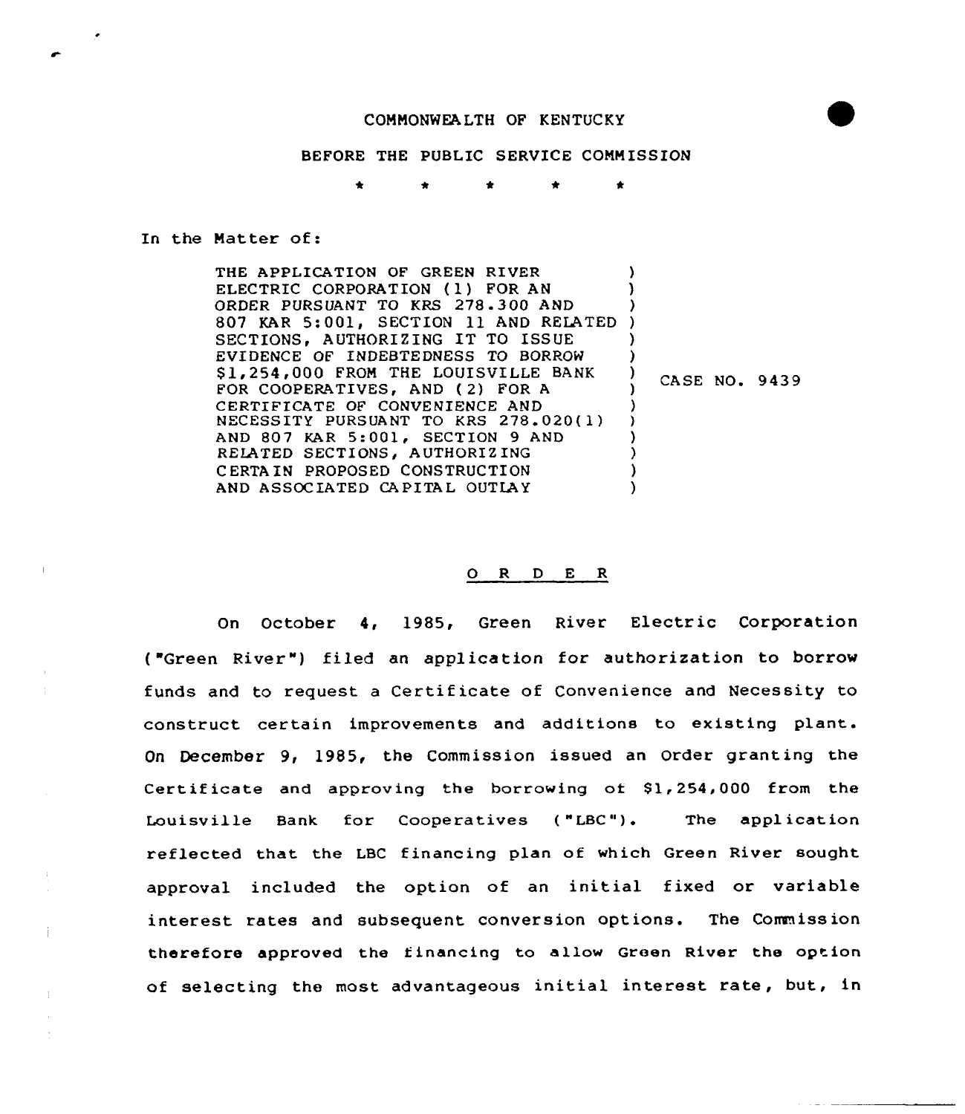## COMMONWEALTH OF KENTUCKY

## BEFORE THE PUBLIC SERVICE COMMISSION

## In the Matter of:

Ť

THE APPLICATION OF GREEN RIVER ELECTRIC CORPORATION (1) FOR AN ORDER PURSUANT TO KRS 278 - 300 AND ORDER PURSUANT TO KRS 278.300 AND )<br>807 KAR 5:001, SECTION 11 AND RELATED ) SECTIONS, AUTHORIZING IT TO ISSUE EVIDENCE OF INDEBTEDNESS TQ BORROW \$1,254,000 FROM THE LOUISVILLE BANK FOR COOPERATIVES, AND ( 2) FOR <sup>A</sup> CERTIFICATE OF CONVENIENCE AND NECESSITY PURSUANT TO KRS 278.020(1) AND 807 KAR 5:001, SECTION 9 AND RELATED SECTIONS, AUTHORIZING C ERTA IN PROPOSED CONSTRUCTION AND ASSOCIATED CAPITAL OUTLAY ) ) ) ) ) ) CASE NO. 9439 ) ) ) ) )  $\lambda$ 

## 0 <sup>R</sup> <sup>D</sup> <sup>E</sup> <sup>R</sup>

On October 4, 1985, Green River Electric Corporation ("Green River") filed an application for authorization to borrow funds and to request a Certif icate of Convenience and Necessity to construct certain improvements and additions to existing plant. On December 9, 1985, the Commission issued an order granting the Certificate and approving the borrowing of  $$1,254,000$  from the Louisville Bank for Cooperatives ( "LBC"). The application reflected that the LBC financing plan of which Green River sought approval included the option of an initial fixed or variable interest rates and subsequent conversion options. The Commission therefore approved the financing to allow Green River the option of selecting the most advantageous initial interest rate, but, in